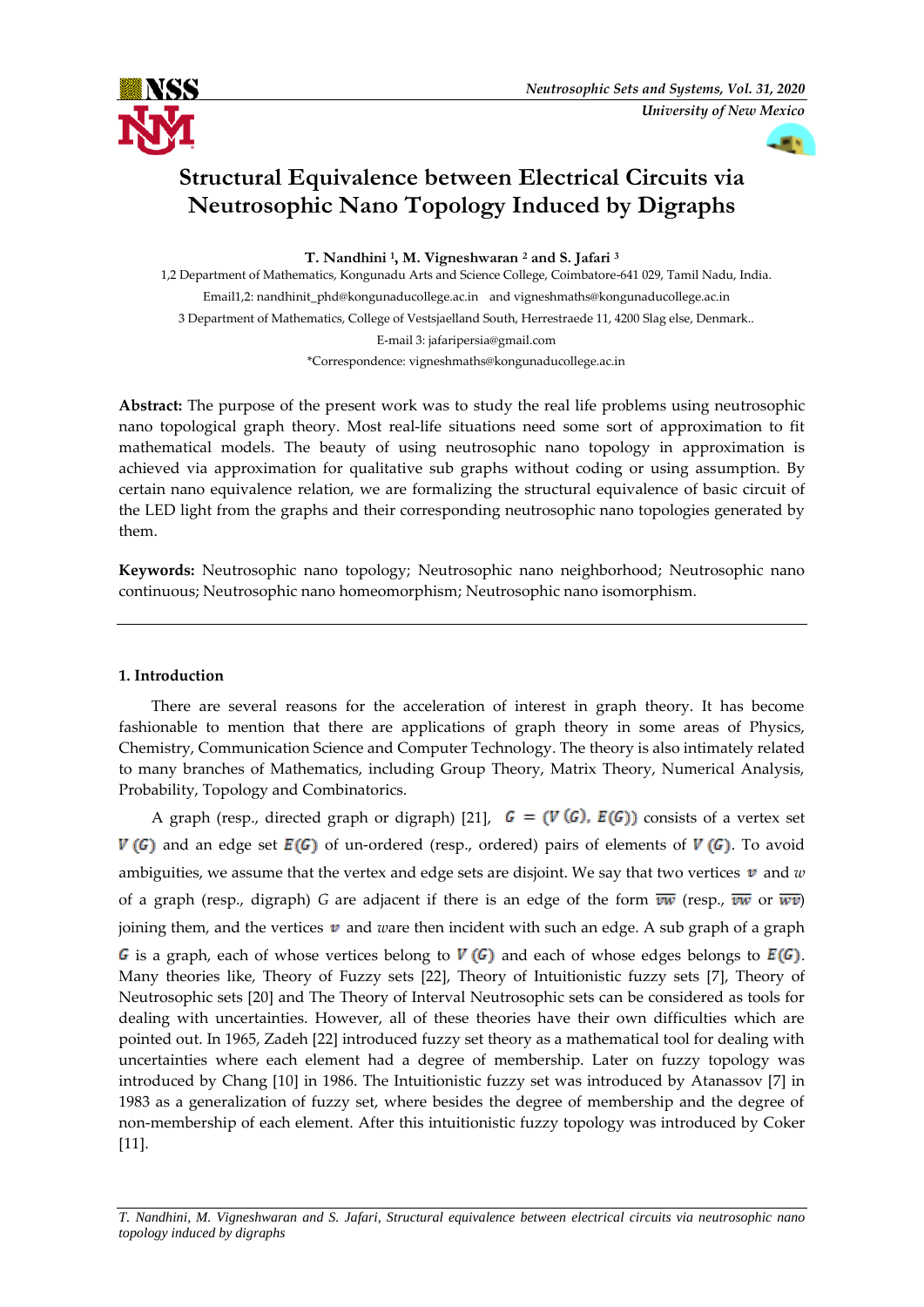

# **Structural Equivalence between Electrical Circuits via Neutrosophic Nano Topology Induced by Digraphs**

**T. Nandhini <sup>1</sup> , M. Vigneshwaran <sup>2</sup> and S. Jafari <sup>3</sup>**

1,2 Department of Mathematics, Kongunadu Arts and Science College, Coimbatore-641 029, Tamil Nadu, India. Email1,2: nandhinit\_phd@kongunaducollege.ac.in and vigneshmaths@kongunaducollege.ac.in 3 Department of Mathematics, College of Vestsjaelland South, Herrestraede 11, 4200 Slag else, Denmark.. E-mail 3: jafaripersia@gmail.com \*Correspondence: vigneshmaths@kongunaducollege.ac.in

**Abstract:** The purpose of the present work was to study the real life problems using neutrosophic nano topological graph theory. Most real-life situations need some sort of approximation to fit mathematical models. The beauty of using neutrosophic nano topology in approximation is achieved via approximation for qualitative sub graphs without coding or using assumption. By certain nano equivalence relation, we are formalizing the structural equivalence of basic circuit of the LED light from the graphs and their corresponding neutrosophic nano topologies generated by them.

**Keywords:** Neutrosophic nano topology; Neutrosophic nano neighborhood; Neutrosophic nano continuous; Neutrosophic nano homeomorphism; Neutrosophic nano isomorphism.

# **1. Introduction**

There are several reasons for the acceleration of interest in graph theory. It has become fashionable to mention that there are applications of graph theory in some areas of Physics, Chemistry, Communication Science and Computer Technology. The theory is also intimately related to many branches of Mathematics, including Group Theory, Matrix Theory, Numerical Analysis, Probability, Topology and Combinatorics.

A graph (resp., directed graph or digraph) [21],  $G = (V(G), E(G))$  consists of a vertex set  $V(G)$  and an edge set  $E(G)$  of un-ordered (resp., ordered) pairs of elements of  $V(G)$ . To avoid ambiguities, we assume that the vertex and edge sets are disjoint. We say that two vertices  $\boldsymbol{v}$  and  $w$ of a graph (resp., digraph) *G* are adjacent if there is an edge of the form  $\overline{vw}$  (resp.,  $\overline{vw}$  or  $\overline{wv}$ ) joining them, and the vertices  $v$  and *w*are then incident with such an edge. A sub graph of a graph G is a graph, each of whose vertices belong to  $V(G)$  and each of whose edges belongs to  $E(G)$ . Many theories like, Theory of Fuzzy sets [22], Theory of Intuitionistic fuzzy sets [7], Theory of Neutrosophic sets [20] and The Theory of Interval Neutrosophic sets can be considered as tools for dealing with uncertainties. However, all of these theories have their own difficulties which are pointed out. In 1965, Zadeh [22] introduced fuzzy set theory as a mathematical tool for dealing with uncertainties where each element had a degree of membership. Later on fuzzy topology was introduced by Chang [10] in 1986. The Intuitionistic fuzzy set was introduced by Atanassov [7] in 1983 as a generalization of fuzzy set, where besides the degree of membership and the degree of non-membership of each element. After this intuitionistic fuzzy topology was introduced by Coker [11].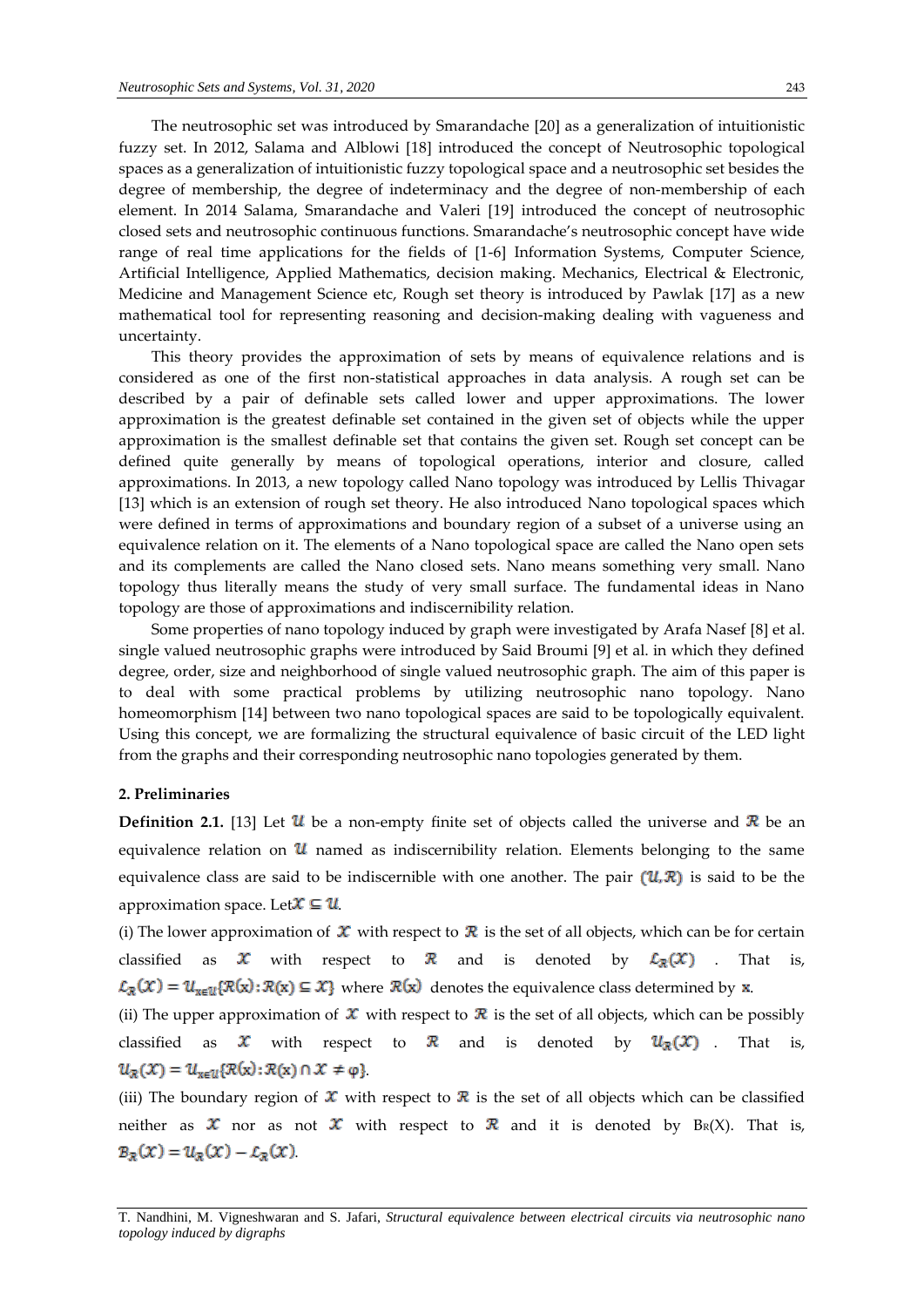The neutrosophic set was introduced by Smarandache [20] as a generalization of intuitionistic fuzzy set. In 2012, Salama and Alblowi [18] introduced the concept of Neutrosophic topological spaces as a generalization of intuitionistic fuzzy topological space and a neutrosophic set besides the degree of membership, the degree of indeterminacy and the degree of non-membership of each element. In 2014 Salama, Smarandache and Valeri [19] introduced the concept of neutrosophic closed sets and neutrosophic continuous functions. Smarandache's neutrosophic concept have wide range of real time applications for the fields of [1-6] Information Systems, Computer Science, Artificial Intelligence, Applied Mathematics, decision making. Mechanics, Electrical & Electronic, Medicine and Management Science etc, Rough set theory is introduced by Pawlak [17] as a new mathematical tool for representing reasoning and decision-making dealing with vagueness and uncertainty.

This theory provides the approximation of sets by means of equivalence relations and is considered as one of the first non-statistical approaches in data analysis. A rough set can be described by a pair of definable sets called lower and upper approximations. The lower approximation is the greatest definable set contained in the given set of objects while the upper approximation is the smallest definable set that contains the given set. Rough set concept can be defined quite generally by means of topological operations, interior and closure, called approximations. In 2013, a new topology called Nano topology was introduced by Lellis Thivagar [13] which is an extension of rough set theory. He also introduced Nano topological spaces which were defined in terms of approximations and boundary region of a subset of a universe using an equivalence relation on it. The elements of a Nano topological space are called the Nano open sets and its complements are called the Nano closed sets. Nano means something very small. Nano topology thus literally means the study of very small surface. The fundamental ideas in Nano topology are those of approximations and indiscernibility relation.

Some properties of nano topology induced by graph were investigated by Arafa Nasef [8] et al. single valued neutrosophic graphs were introduced by Said Broumi [9] et al. in which they defined degree, order, size and neighborhood of single valued neutrosophic graph. The aim of this paper is to deal with some practical problems by utilizing neutrosophic nano topology. Nano homeomorphism [14] between two nano topological spaces are said to be topologically equivalent. Using this concept, we are formalizing the structural equivalence of basic circuit of the LED light from the graphs and their corresponding neutrosophic nano topologies generated by them.

## **2. Preliminaries**

**Definition 2.1.** [13] Let  $\mathbf{U}$  be a non-empty finite set of objects called the universe and  $\mathbf{R}$  be an equivalence relation on  $\mathcal U$  named as indiscernibility relation. Elements belonging to the same equivalence class are said to be indiscernible with one another. The pair  $(\mathcal{U}, \mathcal{R})$  is said to be the approximation space. Let  $\mathcal{X} \subseteq \mathcal{U}$ .

(i) The lower approximation of  $\mathcal X$  with respect to  $\mathcal R$  is the set of all objects, which can be for certain classified as  $\mathcal X$  with respect to  $\mathcal R$  and is denoted by  $\mathcal L_{\mathcal R}(\mathcal X)$  . That is,  $\mathcal{L}_{\mathcal{R}}(\mathcal{X}) = \mathcal{U}_{x \in \mathcal{U}}\{\mathcal{R}(x) : \mathcal{R}(x) \subseteq \mathcal{X}\}\$  where  $\mathcal{R}(x)$  denotes the equivalence class determined by  $x$ .

(ii) The upper approximation of  $\mathcal X$  with respect to  $\mathcal R$  is the set of all objects, which can be possibly classified as  $\mathcal X$  with respect to  $\mathcal R$  and is denoted by  $\mathcal U_{\mathcal R}(\mathcal X)$  . That is,  $u_{\mathcal{R}}(\mathcal{X}) = u_{x \in \mathcal{U}}\{\mathcal{R}(x): \mathcal{R}(x) \cap \mathcal{X} \neq \varphi\}.$ 

(iii) The boundary region of  $\mathcal X$  with respect to  $\mathcal R$  is the set of all objects which can be classified neither as  $\mathcal X$  nor as not  $\mathcal X$  with respect to  $\mathcal R$  and it is denoted by BR(X). That is,  $B_{\mathcal{R}}(\mathcal{X}) = u_{\mathcal{R}}(\mathcal{X}) - \mathcal{L}_{\mathcal{R}}(\mathcal{X})$ 

T. Nandhini, M. Vigneshwaran and S. Jafari, *Structural equivalence between electrical circuits via neutrosophic nano topology induced by digraphs*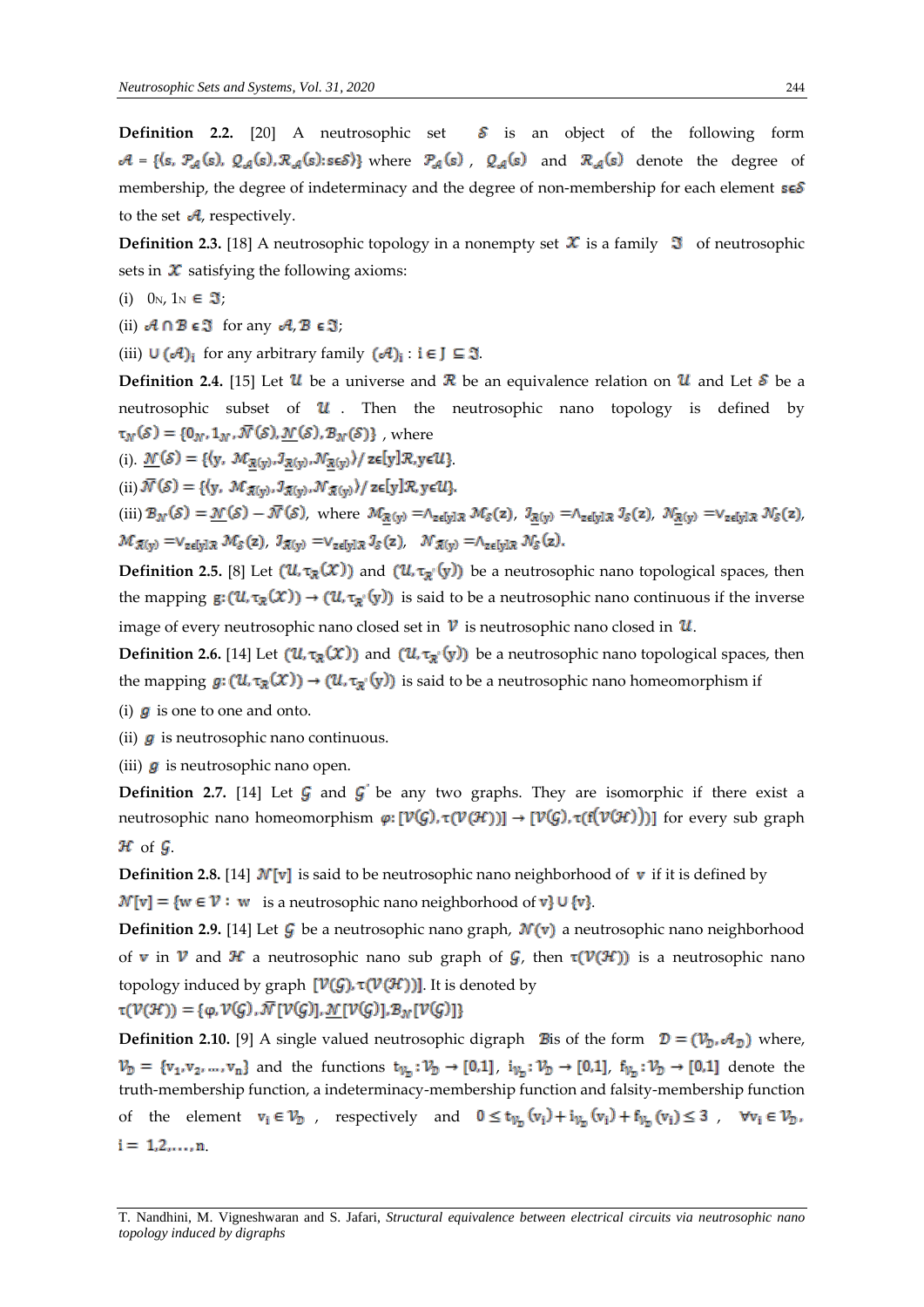**Definition 2.2.** [20] A neutrosophic set  $\delta$  is an object of the following form  $A = \{(s, \mathcal{P}_{\mathcal{A}}(s), \mathcal{Q}_{\mathcal{A}}(s), \mathcal{R}_{\mathcal{A}}(s): s \in \mathcal{S})\}$  where  $\mathcal{P}_{\mathcal{A}}(s)$ ,  $\mathcal{Q}_{\mathcal{A}}(s)$  and  $\mathcal{R}_{\mathcal{A}}(s)$  denote the degree of membership, the degree of indeterminacy and the degree of non-membership for each element  $s \in S$ to the set  $\mathcal{A}$ , respectively.

**Definition 2.3.** [18] A neutrosophic topology in a nonempty set  $\mathcal X$  is a family  $\mathcal I$  of neutrosophic sets in  $\boldsymbol{\mathcal{X}}$  satisfying the following axioms:

- (i)  $0_N$ ,  $1_N \in \mathfrak{I}$ ;
- (ii)  $A \cap B \in \mathfrak{I}$  for any  $A, B \in \mathfrak{I}$ ;

(iii)  $\cup$   $({\cal A})_i$  for any arbitrary family  $({\cal A})_i$ :  $i \in J \subseteq \mathfrak{I}$ .

**Definition 2.4.** [15] Let  $\mathcal{U}$  be a universe and  $\mathcal{R}$  be an equivalence relation on  $\mathcal{U}$  and Let  $\mathcal{S}$  be a neutrosophic subset of  $\mathcal U$ . Then the neutrosophic nano topology is defined by  $\tau_N(\mathcal{S}) = \{0_N, 1_N, \overline{N}(\mathcal{S}), \mathcal{N}(\mathcal{S}), B_N(\mathcal{S})\}\,$ , where

(i).  $\underline{\mathcal{N}}(\mathcal{S}) = \{ (y, \mathcal{M}_{\mathcal{R}(y)}, J_{\mathcal{R}(y)}, \mathcal{N}_{\mathcal{R}(y)}) / z \in [y] \mathcal{R}, y \in \mathcal{U} \}.$ 

(ii)  $\overline{\mathcal{N}}(\mathcal{S}) = \{ (y, \mathcal{M}_{\mathcal{R}(y)}, \mathcal{I}_{\mathcal{R}(y)}, \mathcal{N}_{\mathcal{R}(y)}) / z \in [y] \mathcal{R}, y \in \mathcal{U} \}.$ 

(iii)  $\mathcal{B}_{\mathcal{N}}(\mathcal{S}) = \underline{\mathcal{N}}(\mathcal{S}) - \overline{\mathcal{N}}(\mathcal{S})$ , where  $\mathcal{M}_{\mathcal{R}(y)} = \wedge_{z \in [y] \mathcal{R}} \mathcal{M}_{\mathcal{S}}(z)$ ,  $\mathcal{I}_{\mathcal{R}(y)} = \wedge_{z \in [y] \mathcal{R}} \mathcal{I}_{\mathcal{S}}(z)$ ,  $\mathcal{N}_{\mathcal{R}(y)} = \vee_{z \in [y] \mathcal{R}} \mathcal{N}_{\mathcal{S}}(z)$ ,  $\mathcal{M}_{\mathcal{R}(y)} = \vee_{z \in [y] \mathcal{R}} \mathcal{M}_{\delta}(z), \ \mathcal{I}_{\mathcal{R}(y)} = \vee_{z \in [y] \mathcal{R}} \mathcal{I}_{\delta}(z), \quad \mathcal{N}_{\mathcal{R}(y)} = \wedge_{z \in [y] \mathcal{R}} \mathcal{N}_{\delta}(z).$ 

**Definition 2.5.** [8] Let  $(U, \tau_{\mathcal{R}}(X))$  and  $(U, \tau_{\mathcal{R}}(y))$  be a neutrosophic nano topological spaces, then the mapping  $g: (u, \tau_{\mathcal{R}}(x)) \to (u, \tau_{\mathcal{R}}(y))$  is said to be a neutrosophic nano continuous if the inverse image of every neutrosophic nano closed set in  $\nu$  is neutrosophic nano closed in  $\nu$ .

**Definition 2.6.** [14] Let  $(U, \tau_{\mathbb{R}}(X))$  and  $(U, \tau_{\mathbb{R}}(y))$  be a neutrosophic nano topological spaces, then the mapping  $g: (\mathcal{U}, \tau_{\mathcal{R}}(\mathcal{X})) \to (\mathcal{U}, \tau_{\mathcal{R}}(y))$  is said to be a neutrosophic nano homeomorphism if

(i)  $\boldsymbol{g}$  is one to one and onto.

(ii)  $g$  is neutrosophic nano continuous.

(iii)  $\boldsymbol{g}$  is neutrosophic nano open.

**Definition 2.7.** [14] Let  $\mathcal{G}$  and  $\mathcal{G}'$  be any two graphs. They are isomorphic if there exist a neutrosophic nano homeomorphism  $\varphi: [\mathcal{V}(\mathcal{G}), \tau(\mathcal{V}(\mathcal{H}))] \to [\mathcal{V}(\mathcal{G}), \tau(f(\mathcal{V}(\mathcal{H})))]$  for every sub graph  $\mathcal H$  of  $\mathcal G$ .

**Definition 2.8.** [14]  $\mathcal{N}[v]$  is said to be neutrosophic nano neighborhood of v if it is defined by  $\mathcal{N}[v] = \{w \in \mathcal{V} : w \text{ is a neutrosophic nano neighborhood of } v\} \cup \{v\}.$ 

**Definition 2.9.** [14] Let  $\mathcal{G}$  be a neutrosophic nano graph,  $\mathcal{N}(v)$  a neutrosophic nano neighborhood of v in V and H a neutrosophic nano sub graph of  $\mathcal{G}$ , then  $\tau(\mathcal{V}(\mathcal{H}))$  is a neutrosophic nano topology induced by graph  $[\mathcal{V}(G), \tau(\mathcal{V}(H))]$ . It is denoted by  $\tau(\mathcal{V}(\mathcal{H})) = {\varphi, \mathcal{V}(G), \overline{\mathcal{N}}[\mathcal{V}(G)], \underline{\mathcal{N}}[\mathcal{V}(G)], \underline{\mathcal{B}}_{\mathcal{N}}[\mathcal{V}(G)]}$ 

**Definition 2.10.** [9] A single valued neutrosophic digraph **B** is of the form  $\mathcal{D} = (\mathcal{V}_{\mathcal{D}}, \mathcal{A}_{\mathcal{D}})$  where,  $V_{\mathcal{D}} = \{v_1, v_2, ..., v_n\}$  and the functions  $t_{V_{\mathcal{D}}} : V_{\mathcal{D}} \to [0,1]$ ,  $i_{V_{\mathcal{D}}} : V_{\mathcal{D}} \to [0,1]$ ,  $f_{V_{\mathcal{D}}} : V_{\mathcal{D}} \to [0,1]$  denote the truth-membership function, a indeterminacy-membership function and falsity-membership function of the element  $v_i \in V_D$ , respectively and  $0 \le t_{V_D}(v_i) + i_{V_D}(v_i) + f_{V_D}(v_i) \le 3$ ,  $\forall v_i \in V_D$ ,  $i = 1, 2, ..., n$ 

T. Nandhini, M. Vigneshwaran and S. Jafari, *Structural equivalence between electrical circuits via neutrosophic nano topology induced by digraphs*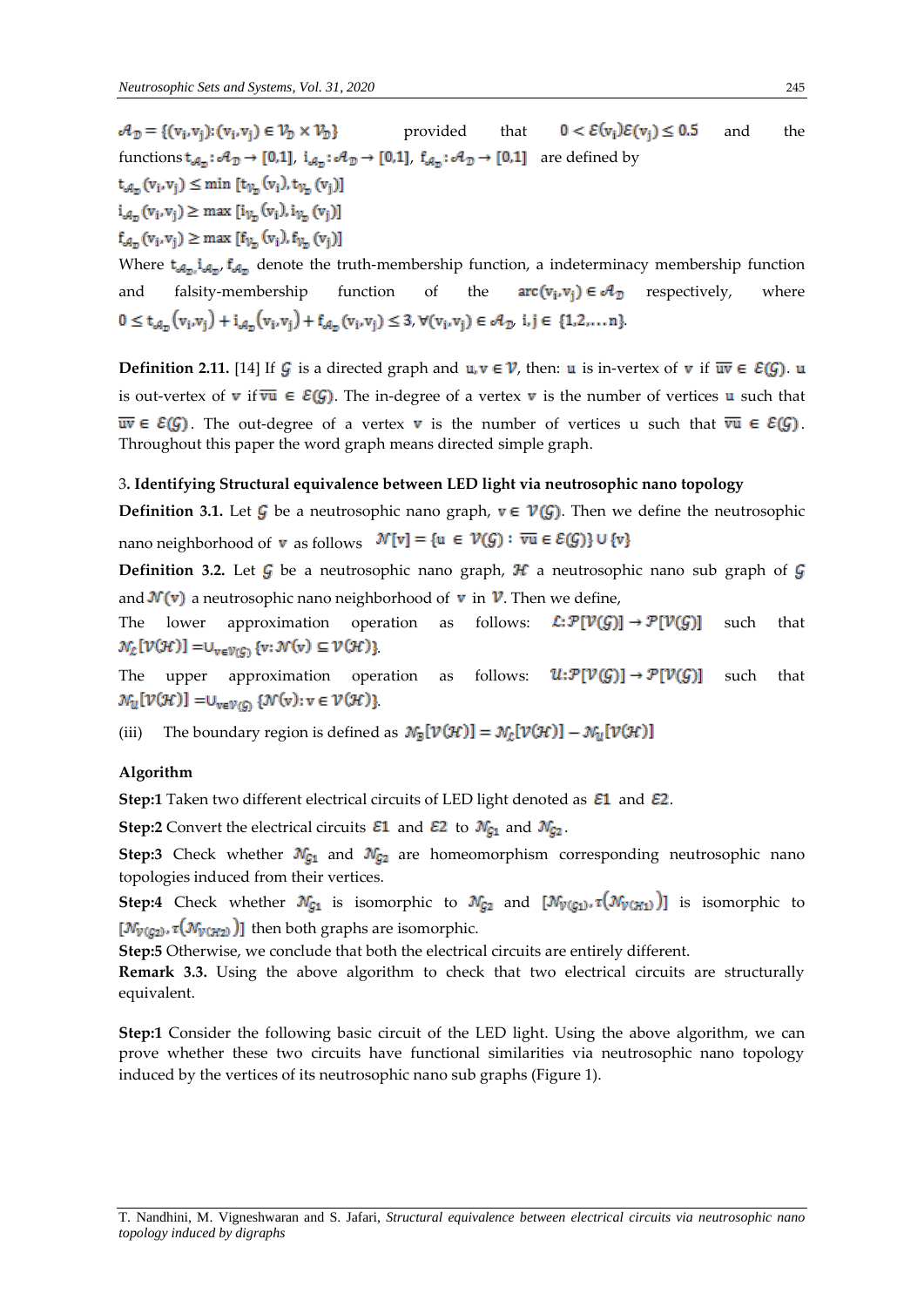$\mathcal{A}_n = \{(v_i, v_i): (v_i, v_i) \in \mathcal{V}_n \times \mathcal{V}_n\}$ provided that  $0 < \mathcal{E}(v_i)\mathcal{E}(v_i) \le 0.5$  and the functions  $t_{\mathcal{A}_n}: \mathcal{A}_{\mathcal{D}} \to [0,1]$ ,  $i_{\mathcal{A}_n}: \mathcal{A}_{\mathcal{D}} \to [0,1]$ ,  $f_{\mathcal{A}_n}: \mathcal{A}_{\mathcal{D}} \to [0,1]$  are defined by  $t_{\mathcal{A}_n}(v_i, v_i) \leq \min[t_{\mathcal{V}_n}(v_i), t_{\mathcal{V}_n}(v_i)]$  $i_{\mathcal{A}_n}(v_i, v_i) \geq \max[i_{\mathcal{V}_n}(v_i), i_{\mathcal{V}_n}(v_i)]$  $f_{a_n}(v_i, v_i) \ge \max [f_{v_n}(v_i), f_{v_n}(v_i)]$ 

Where  $t_{\text{min}}$ ,  $f_{\text{min}}$  denote the truth-membership function, a indeterminacy membership function and falsity-membership function of the  $arc(v_i, v_i) \in \mathcal{A}_{\mathcal{D}}$  respectively, where  $0 \le t_{\mathcal{A}_{\mathcal{D}}}(v_i,v_j) + i_{\mathcal{A}_{\mathcal{D}}}(v_i,v_j) + f_{\mathcal{A}_{\mathcal{D}}}(v_i,v_j) \le 3, \forall (v_i,v_j) \in \mathcal{A}_{\mathcal{D}} \text{ i, } j \in \{1,2,...,n\}$ 

**Definition 2.11.** [14] If G is a directed graph and  $u, v \in V$ , then: u is in-vertex of v if  $\overline{uv} \in \mathcal{E}(G)$ . u is out-vertex of **v** if  $\overline{vu} \in \mathcal{E}(G)$ . The in-degree of a vertex **v** is the number of vertices **u** such that  $\overline{uv} \in \mathcal{E}(G)$ . The out-degree of a vertex **v** is the number of vertices u such that  $\overline{vu} \in \mathcal{E}(G)$ . Throughout this paper the word graph means directed simple graph.

#### 3**. Identifying Structural equivalence between LED light via neutrosophic nano topology**

**Definition 3.1.** Let  $\mathcal{G}$  be a neutrosophic nano graph,  $v \in \mathcal{V}(\mathcal{G})$ . Then we define the neutrosophic nano neighborhood of **v** as follows  $\mathcal{N}[v] = \{u \in \mathcal{V}(G) : \overline{vu} \in \mathcal{E}(G)\} \cup \{v\}$ 

**Definition 3.2.** Let  $\mathcal{G}$  be a neutrosophic nano graph,  $\mathcal{H}$  a neutrosophic nano sub graph of  $\mathcal{G}$ and  $\mathcal{N}(v)$  a neutrosophic nano neighborhood of  $v$  in  $\mathcal{V}$ . Then we define,

The lower approximation operation as follows:  $\mathcal{L}:\mathcal{P}[\mathcal{V}(G)] \to \mathcal{P}[\mathcal{V}(G)]$  such that  $\mathcal{N}_{\mathcal{L}}[\mathcal{V}(\mathcal{H})] = \cup_{v \in \mathcal{V}(\mathcal{G})} \{v : \mathcal{N}(v) \subseteq \mathcal{V}(\mathcal{H})\}.$ 

The upper approximation operation as follows:  $\mathcal{U}:\mathcal{P}[\mathcal{V}(G)] \to \mathcal{P}[\mathcal{V}(G)]$  such that  $\mathcal{N}_u[\mathcal{V}(\mathcal{H})] = \cup_{v \in \mathcal{V}(G)} \{ \mathcal{N}(v) : v \in \mathcal{V}(\mathcal{H}) \}$ 

(iii) The boundary region is defined as  $\mathcal{N}_{\mathbb{F}}[\mathcal{V}(\mathcal{H})] = \mathcal{N}_{\mathcal{L}}[\mathcal{V}(\mathcal{H})] - \mathcal{N}_{\mathcal{U}}[\mathcal{V}(\mathcal{H})]$ 

## **Algorithm**

**Step:1** Taken two different electrical circuits of LED light denoted as  $\mathcal{E}1$  and  $\mathcal{E}2$ .

**Step:2** Convert the electrical circuits  $\mathcal{E}1$  and  $\mathcal{E}2$  to  $\mathcal{N}_{C_1}$  and  $\mathcal{N}_{C_2}$ .

**Step:3** Check whether  $N_{g_1}$  and  $N_{g_2}$  are homeomorphism corresponding neutrosophic nano topologies induced from their vertices.

**Step:4** Check whether  $\mathcal{N}_{G_1}$  is isomorphic to  $\mathcal{N}_{G_2}$  and  $[\mathcal{N}_{\mathcal{V}(G_1)}, \tau(\mathcal{N}_{\mathcal{V}(H_1)})]$  is isomorphic to  $[\mathcal{N}_{V(G_2)}, \tau(\mathcal{N}_{V(H_2)})]$  then both graphs are isomorphic.

**Step:5** Otherwise, we conclude that both the electrical circuits are entirely different.

**Remark 3.3.** Using the above algorithm to check that two electrical circuits are structurally equivalent.

**Step:1** Consider the following basic circuit of the LED light. Using the above algorithm, we can prove whether these two circuits have functional similarities via neutrosophic nano topology induced by the vertices of its neutrosophic nano sub graphs (Figure 1).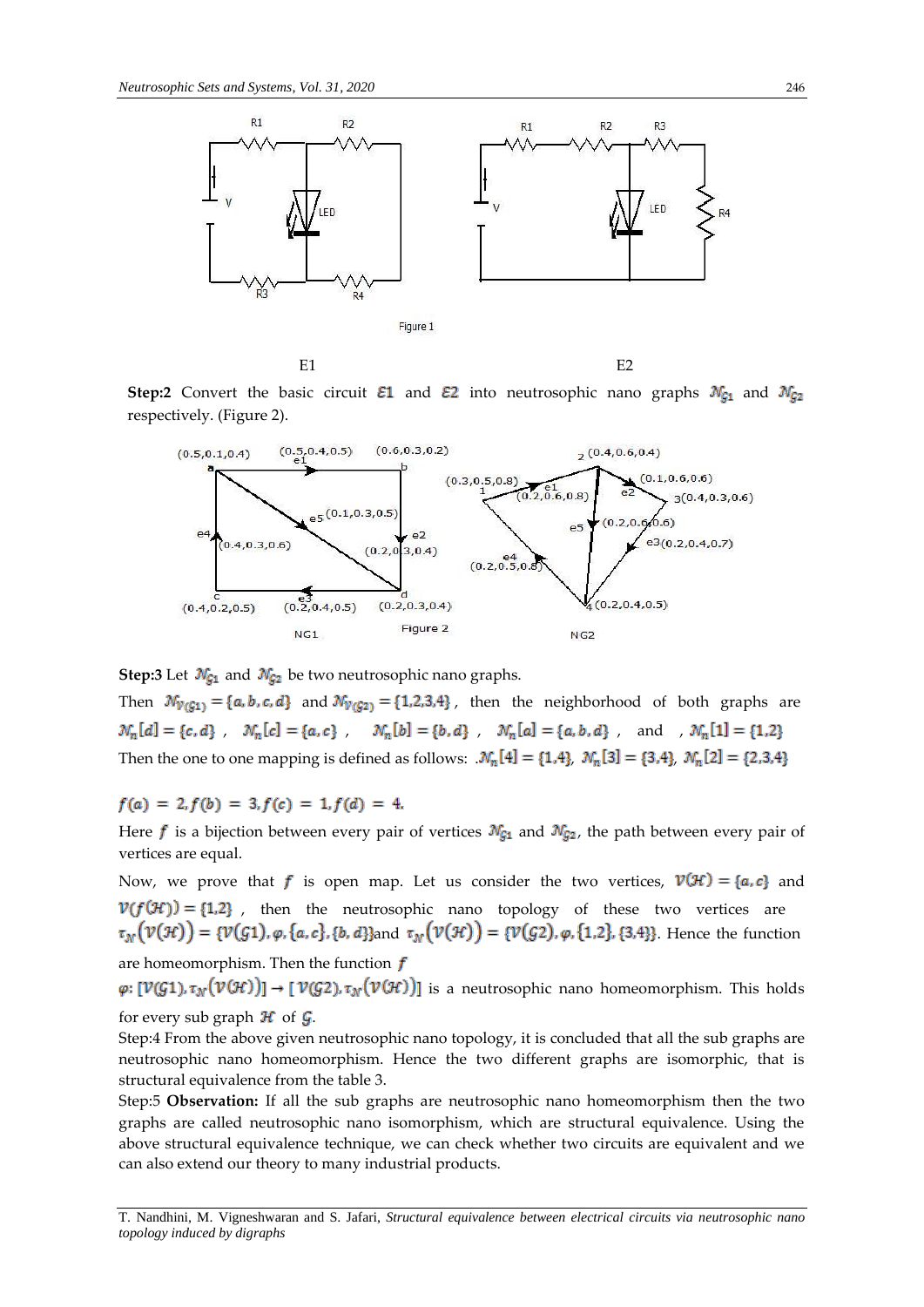

**Step:2** Convert the basic circuit  $\mathcal{E}1$  and  $\mathcal{E}2$  into neutrosophic nano graphs  $\mathcal{N}_{\mathcal{G}1}$  and  $\mathcal{N}_{\mathcal{G}2}$ respectively. (Figure 2).



**Step:3** Let  $\mathcal{N}_{G_1}$  and  $\mathcal{N}_{G_2}$  be two neutrosophic nano graphs.

Then  $\mathcal{N}_{V(G1)} = \{a, b, c, d\}$  and  $\mathcal{N}_{V(G2)} = \{1, 2, 3, 4\}$ , then the neighborhood of both graphs are  $\mathcal{N}_n[a]=\{c,d\} \hspace{1mm}, \hspace{1mm} \mathcal{N}_n[c]=\{a,c\} \hspace{1mm}, \hspace{1mm} \mathcal{N}_n[b]=\{b,d\} \hspace{1mm}, \hspace{1mm} \mathcal{N}_n[a]=\{a,b,d\} \hspace{1mm}, \hspace{1mm} \text{and} \hspace{1mm}, \hspace{1mm} \mathcal{N}_n[1]=\{1,2\}$ Then the one to one mapping is defined as follows:  $\mathcal{N}_n[4] = \{1,4\}$ ,  $\mathcal{N}_n[3] = \{3,4\}$ ,  $\mathcal{N}_n[2] = \{2,3,4\}$ 

 $f(a) = 2, f(b) = 3, f(c) = 1, f(d) = 4.$ 

Here  $f$  is a bijection between every pair of vertices  $\mathcal{N}_{G_1}$  and  $\mathcal{N}_{G_2}$ , the path between every pair of vertices are equal.

Now, we prove that f is open map. Let us consider the two vertices,  $V(\mathcal{H}) = \{a, c\}$  and  $V(f(H)) = \{1,2\}$ , then the neutrosophic nano topology of these two vertices are  $\tau_{\mathcal{N}}(\mathcal{V}(\mathcal{H})) = {\mathcal{V}(\mathcal{G}1), \varphi, \{a, c\}, \{b, d\}}$  and  $\tau_{\mathcal{N}}(\mathcal{V}(\mathcal{H})) = {\mathcal{V}(\mathcal{G}2), \varphi, \{1, 2\}, \{3, 4\}\}}$ . Hence the function are homeomorphism. Then the function  $f$ 

 $\varphi: [\mathcal{V}(G1), \tau_{\mathcal{N}}(\mathcal{V}(H))] \to [\mathcal{V}(G2), \tau_{\mathcal{N}}(\mathcal{V}(H))]$  is a neutrosophic nano homeomorphism. This holds for every sub graph  $\mathcal H$  of  $\mathcal G$ .

Step:4 From the above given neutrosophic nano topology, it is concluded that all the sub graphs are neutrosophic nano homeomorphism. Hence the two different graphs are isomorphic, that is structural equivalence from the table 3.

Step:5 **Observation:** If all the sub graphs are neutrosophic nano homeomorphism then the two graphs are called neutrosophic nano isomorphism, which are structural equivalence. Using the above structural equivalence technique, we can check whether two circuits are equivalent and we can also extend our theory to many industrial products.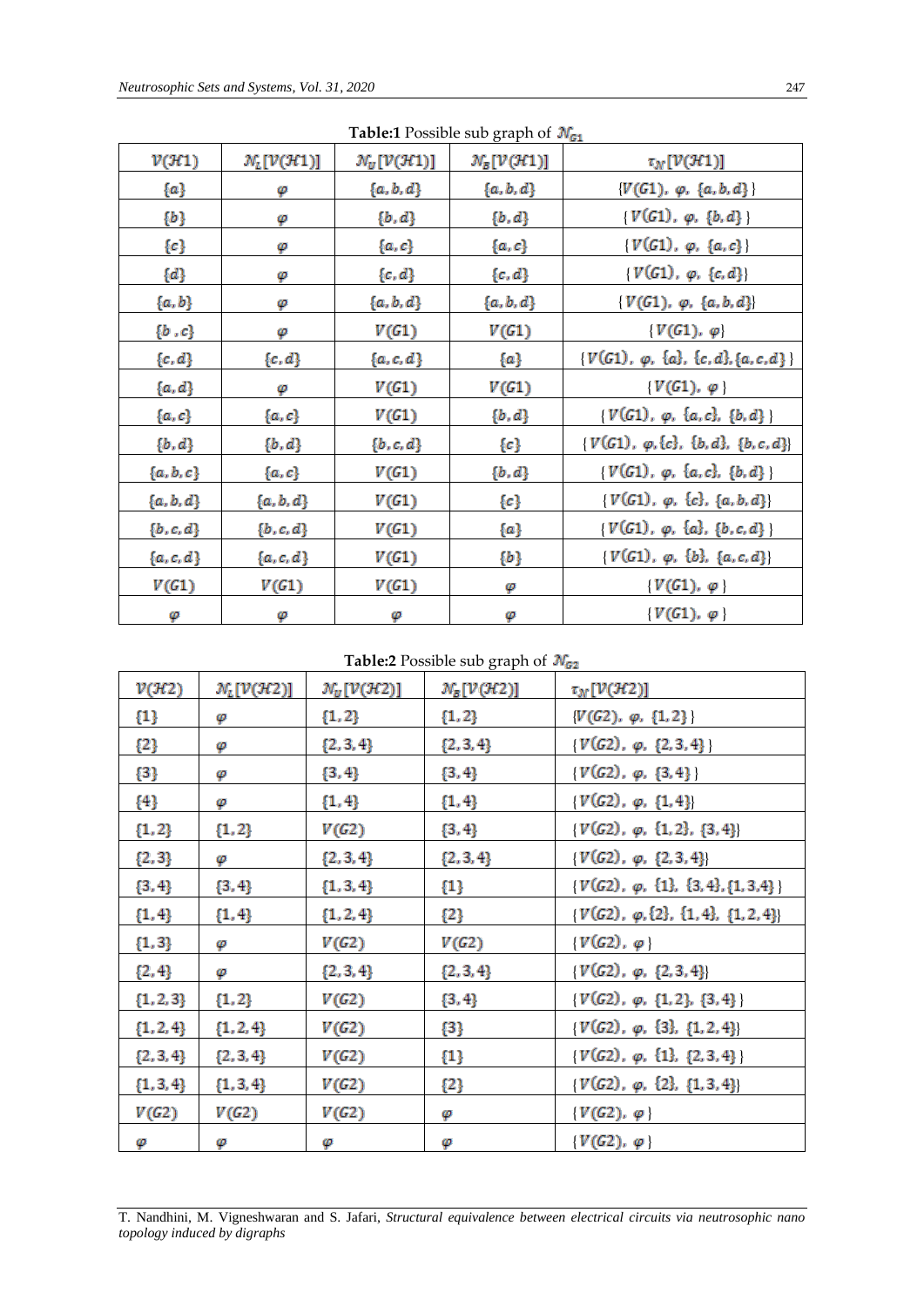|                   |                                            |                                            | $\sigma$ - $\sigma$ - $\sigma$ -           | œ                                                   |
|-------------------|--------------------------------------------|--------------------------------------------|--------------------------------------------|-----------------------------------------------------|
| $v(\mathcal{H}1)$ | $\mathcal{N}_L[\mathcal{V}(\mathcal{H}1)]$ | $\mathcal{N}_U[\mathcal{V}(\mathcal{H}1)]$ | $\mathcal{N}_B[\mathcal{V}(\mathcal{H}1)]$ | $\tau_N[\mathcal{V}(\mathcal{H}1)]$                 |
| $\{a\}$           | φ                                          | $\{a,b,d\}$                                | $\{a,b,d\}$                                | $\{V(G1), \varphi, \{a, b, d\}\}\$                  |
| {b}               | φ                                          | $\{b,d\}$                                  | $\{b,d\}$                                  | $\{V(G1), \varphi, \{b, d\}\}\$                     |
| $\{c\}$           | φ                                          | $\{a,c\}$                                  | $\{a,c\}$                                  | $\{V(G1), \varphi, \{a,c\}\}\$                      |
| $\{d\}$           | φ                                          | $\{c,d\}$                                  | $\{c,d\}$                                  | $\{V(G1), \varphi, \{c, d\}\}$                      |
| $\{a,b\}$         | φ                                          | $\{a,b,d\}$                                | $\{a,b,d\}$                                | $\{V(G1), \varphi, \{a, b, d\}\}\$                  |
| $\{b^-,c\}$       | φ                                          | V(G1)                                      | V(G1)                                      | $\{V(G1), \varphi\}$                                |
| $\{c,d\}$         | $\{c,d\}$                                  | $\{a,c,d\}$                                | {a}                                        | $\{V(G1), \varphi, \{a\}, \{c, d\}, \{a, c, d\}\}\$ |
| $\{a,d\}$         | φ                                          | V(G1)                                      | V(G1)                                      | $\{V(G1), \varphi\}$                                |
| $\{a,c\}$         | $\{a,c\}$                                  | V(G1)                                      | $\{b,d\}$                                  | $\{V(G1), \varphi, \{a, c\}, \{b, d\}\}\$           |
| $\{b,d\}$         | $\{b,d\}$                                  | $\{b,c,d\}$                                | $\{c\}$                                    | $\{V(G1), \varphi, \{c\}, \{b, d\}, \{b, c, d\}\}\$ |
| $\{a,b,c\}$       | $\{a,c\}$                                  | V(G1)                                      | $\{b,d\}$                                  | $\{V(G1), \varphi, \{a, c\}, \{b, d\}\}\$           |
| $\{a,b,d\}$       | $\{a,b,d\}$                                | V(G1)                                      | $\{c\}$                                    | $\{V(G1), \varphi, \{c\}, \{a, b, d\}\}\$           |
| $\{b,c,d\}$       | $\{b,c,d\}$                                | V(G1)                                      | {a}                                        | $\{V(G1), \varphi, \{a\}, \{b,c,d\}\}\$             |
| $\{a,c,d\}$       | $\{a,c,d\}$                                | V(G1)                                      | {b}                                        | $\{V(G1), \varphi, \{b\}, \{a, c, d\}\}\$           |
| V(G1)             | V(G1)                                      | V(G1)                                      | φ                                          | $\{V(G1), \varphi\}$                                |
| φ                 | φ                                          | φ                                          | φ                                          | $\{V(G1), \varphi\}$                                |

**Table:1** Possible sub graph of  $\mathcal{N}_{G1}$ 

**Table:2** Possible sub graph of  $\mathcal{N}_{G2}$ 

| V(H2)         | $\mathcal{N}_L[\mathcal{V}(\mathcal{H}2)]$ | $\mathcal{N}_U[\mathcal{V}(\mathcal{H}2)]$ | $\mathcal{N}_B[\mathcal{V}(\mathcal{H}2)]$ | $\tau_N[\mathcal{V}(\mathcal{H}2)]$              |
|---------------|--------------------------------------------|--------------------------------------------|--------------------------------------------|--------------------------------------------------|
| $\{1\}$       | φ                                          | ${1, 2}$                                   | ${1, 2}$                                   | $\{V(G2), \varphi, \{1,2\}\}\$                   |
| ${2}$         | φ                                          | $\{2, 3, 4\}$                              | $\{2, 3, 4\}$                              | $\{V(G2), \varphi, \{2,3,4\}\}\$                 |
| ${3}$         | φ                                          | $\{3, 4\}$                                 | $\{3, 4\}$                                 | $\{V(G2), \varphi, \{3,4\}\}\$                   |
| ${4}$         | φ                                          | $\{1,4\}$                                  | $\{1,4\}$                                  | $\{V(G2), \varphi, \{1,4\}\}\$                   |
| ${1, 2}$      | ${1, 2}$                                   | V(G2)                                      | $\{3, 4\}$                                 | $\{V(G2), \varphi, \{1,2\}, \{3,4\}\}\$          |
| ${2, 3}$      | φ                                          | $\{2, 3, 4\}$                              | $\{2, 3, 4\}$                              | $\{V(G2), \varphi, \{2,3,4\}\}\$                 |
| $\{3, 4\}$    | $\{3, 4\}$                                 | $\{1, 3, 4\}$                              | $\{1\}$                                    | $\{V(G2), \varphi, \{1\}, \{3,4\}, \{1,3,4\}\}\$ |
| ${1, 4}$      | ${1, 4}$                                   | $\{1, 2, 4\}$                              | {2}                                        | $\{V(G2), \varphi, \{2\}, \{1,4\}, \{1,2,4\}\}\$ |
| ${1, 3}$      | φ                                          | V(G2)                                      | V(G2)                                      | $\{V(G2), \varphi\}$                             |
| ${2, 4}$      | φ                                          | $\{2, 3, 4\}$                              | $\{2, 3, 4\}$                              | $V(G2), \varphi, \{2,3,4\}$                      |
| $\{1, 2, 3\}$ | ${1, 2}$                                   | V(G2)                                      | $\{3, 4\}$                                 | $\{V(G2), \varphi, \{1,2\}, \{3,4\}\}\$          |
| ${1, 2, 4}$   | $\{1, 2, 4\}$                              | V(G2)                                      | ${3}$                                      | $\{V(G2), \varphi, \{3\}, \{1,2,4\}\}\$          |
| $\{2, 3, 4\}$ | $\{2, 3, 4\}$                              | V(G2)                                      | $\{1\}$                                    | $\{V(G2), \varphi, \{1\}, \{2,3,4\}\}\$          |
| $\{1, 3, 4\}$ | ${1, 3, 4}$                                | V(G2)                                      | {2}                                        | $\{V(G2), \varphi, \{2\}, \{1,3,4\}\}\$          |
| V(G2)         | V(G2)                                      | V(G2)                                      | φ                                          | $\{V(G2), \varphi\}$                             |
| φ             | φ                                          | φ                                          | φ                                          | $\{V(G2), \varphi\}$                             |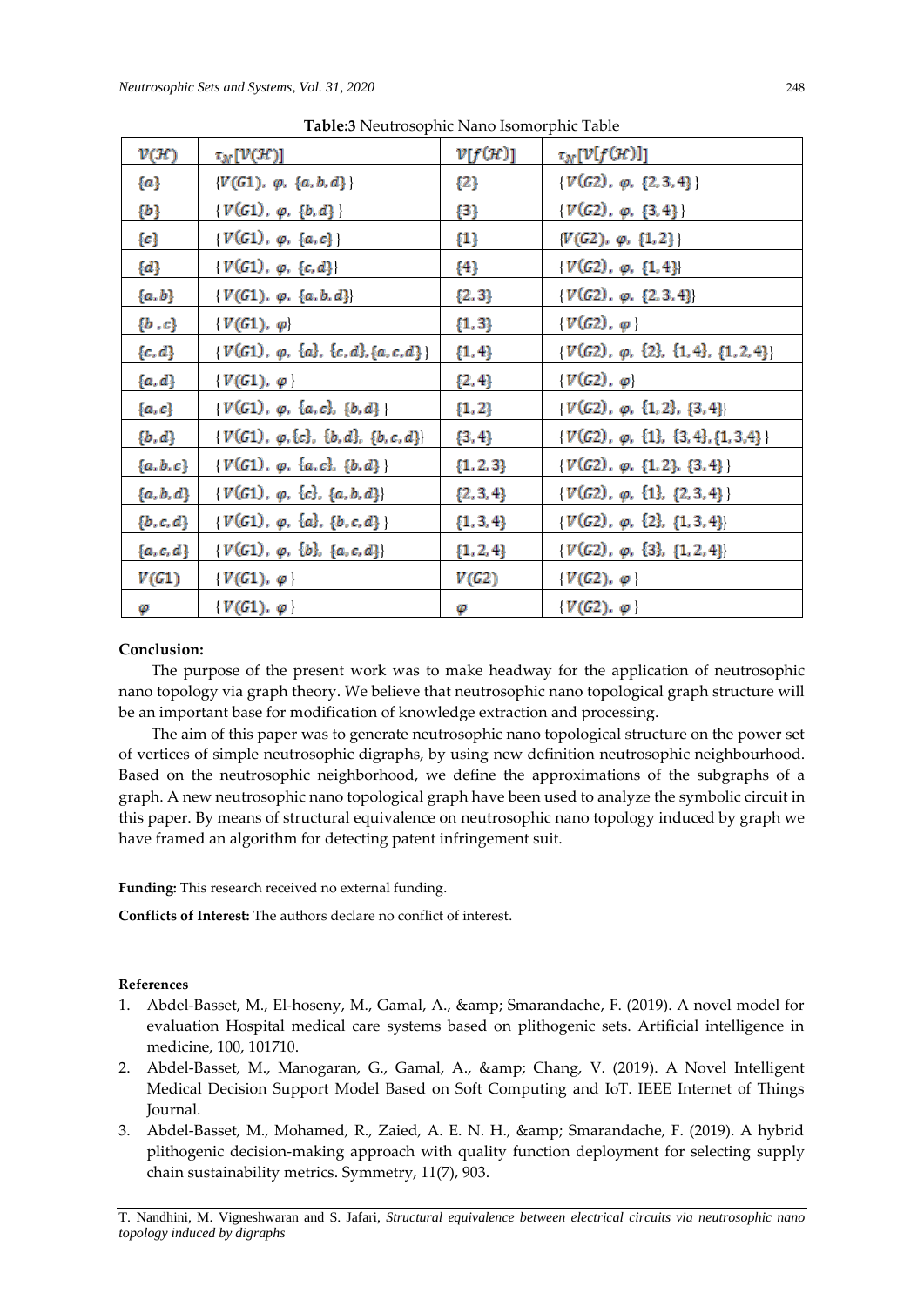| $\mathcal{V}(\mathcal{H})$ | $\tau_{N}[\mathcal{V}(\mathcal{H})]$                | $v[f(\mathcal{H})]$ | $\tau_N[\mathcal{V}[f(\mathcal{H})]]$            |
|----------------------------|-----------------------------------------------------|---------------------|--------------------------------------------------|
| {a}                        | $\{V(G1), \varphi, \{a, b, d\}\}\$                  | {2}                 | $\{V(G2), \varphi, \{2,3,4\}\}\$                 |
| $\{b\}$                    | $\{V(G1), \varphi, \{b, d\}\}\$                     | ${3}$               | $\{V(G2), \varphi, \{3,4\}\}\$                   |
| $\{c\}$                    | $\{V(G1), \varphi, \{a,c\}\}\$                      | $\{1\}$             | $\{V(G2), \varphi, \{1,2\}\}\$                   |
| $\{d\}$                    | $\{V(G1), \varphi, \{c, d\}\}\$                     | {4}                 | $\{V(G2), \varphi, \{1,4\}\}\$                   |
| $\{a, b\}$                 | $\{V(G1), \varphi, \{a, b, d\}\}\$                  | $\{2, 3\}$          | $\{V(G2), \varphi, \{2,3,4\}\}\$                 |
| $\{b^-,c\}$                | $\{V(G1), \varphi\}$                                | ${1, 3}$            | $\{V(G2), \varphi\}$                             |
| $\{c,d\}$                  | $\{V(G1), \varphi, \{a\}, \{c, d\}, \{a, c, d\}\}\$ | ${1, 4}$            | $\{V(G2), \varphi, \{2\}, \{1,4\}, \{1,2,4\}\}\$ |
| $\{a,d\}$                  | $\{V(G1), \varphi\}$                                | $\{2,4\}$           | $\{V(G2), \varphi\}$                             |
| $\{a,c\}$                  | $\{V(G1), \varphi, \{a, c\}, \{b, d\}\}\$           | ${1, 2}$            | $\{V(G2), \varphi, \{1,2\}, \{3,4\}\}\$          |
| $\{b,d\}$                  | $\{V(G1), \varphi, \{c\}, \{b, d\}, \{b, c, d\}\}\$ | $\{3, 4\}$          | $\{V(G2), \varphi, \{1\}, \{3,4\}, \{1,3,4\}\}\$ |
| $\{a,b,c\}$                | $\{V(G1), \varphi, \{a, c\}, \{b, d\}\}\$           | ${1, 2, 3}$         | $\{V(G2), \varphi, \{1,2\}, \{3,4\}\}\$          |
| $\{a,b,d\}$                | $\{V(G1), \varphi, \{c\}, \{a, b, d\}\}\$           | $\{2, 3, 4\}$       | $\{V(G2), \varphi, \{1\}, \{2,3,4\}\}\$          |
| $\{b,c,d\}$                | $\{V(G1), \varphi, \{a\}, \{b,c,d\}\}\$             | $\{1, 3, 4\}$       | $\{V(G2), \varphi, \{2\}, \{1,3,4\}\}\$          |
| $\{a,c,d\}$                | $\{V(G1), \varphi, \{b\}, \{a,c,d\}\}\$             | ${1, 2, 4}$         | $\{V(G2), \varphi, \{3\}, \{1,2,4\}\}\$          |
| V(G1)                      | $\{V(G1), \varphi\}$                                | V(G2)               | $\{V(G2), \varphi\}$                             |
| φ                          | $\{V(G1), \varphi\}$                                | φ                   | $\{V(G2), \varphi\}$                             |

**Table:3** Neutrosophic Nano Isomorphic Table

## **Conclusion:**

The purpose of the present work was to make headway for the application of neutrosophic nano topology via graph theory. We believe that neutrosophic nano topological graph structure will be an important base for modification of knowledge extraction and processing.

The aim of this paper was to generate neutrosophic nano topological structure on the power set of vertices of simple neutrosophic digraphs, by using new definition neutrosophic neighbourhood. Based on the neutrosophic neighborhood, we define the approximations of the subgraphs of a graph. A new neutrosophic nano topological graph have been used to analyze the symbolic circuit in this paper. By means of structural equivalence on neutrosophic nano topology induced by graph we have framed an algorithm for detecting patent infringement suit.

**Funding:** This research received no external funding.

**Conflicts of Interest:** The authors declare no conflict of interest.

## **References**

- 1. Abdel-Basset, M., El-hoseny, M., Gamal, A., & amp; Smarandache, F. (2019). A novel model for evaluation Hospital medical care systems based on plithogenic sets. Artificial intelligence in medicine, 100, 101710.
- 2. Abdel-Basset, M., Manogaran, G., Gamal, A., & amp; Chang, V. (2019). A Novel Intelligent Medical Decision Support Model Based on Soft Computing and IoT. IEEE Internet of Things Journal.
- 3. Abdel-Basset, M., Mohamed, R., Zaied, A. E. N. H., & amp; Smarandache, F. (2019). A hybrid plithogenic decision-making approach with quality function deployment for selecting supply chain sustainability metrics. Symmetry, 11(7), 903.